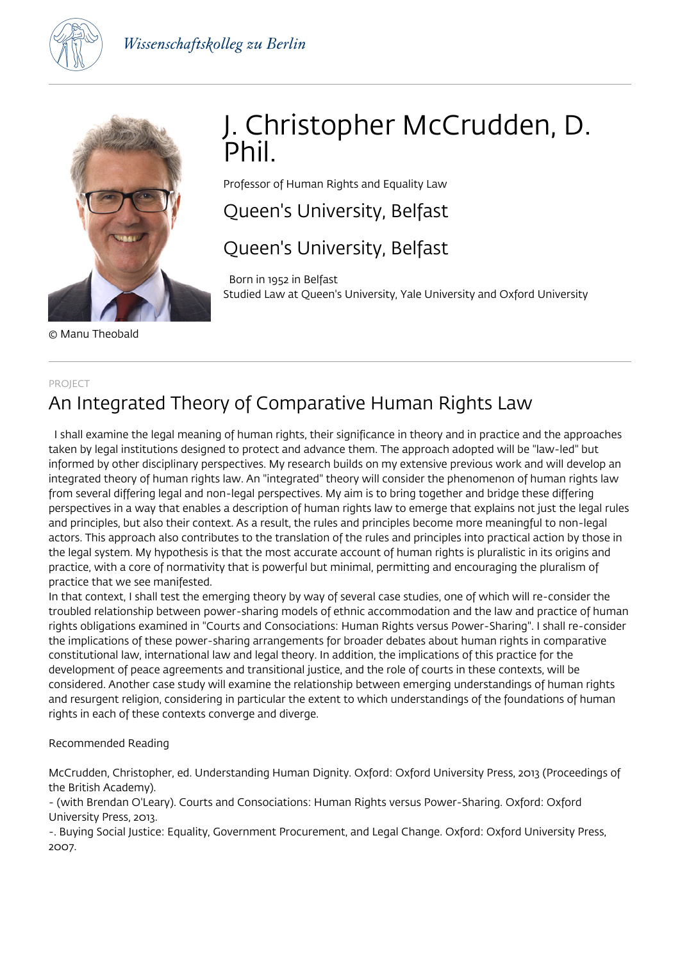



© Manu Theobald

# J. Christopher McCrudden, D. Phil.

Professor of Human Rights and Equality Law

## Queen's University, Belfast

## Queen's University, Belfast

 Born in 1952 in Belfast Studied Law at Queen's University, Yale University and Oxford University

### PROJECT An Integrated Theory of Comparative Human Rights Law

 I shall examine the legal meaning of human rights, their significance in theory and in practice and the approaches taken by legal institutions designed to protect and advance them. The approach adopted will be "law-led" but informed by other disciplinary perspectives. My research builds on my extensive previous work and will develop an integrated theory of human rights law. An "integrated" theory will consider the phenomenon of human rights law from several differing legal and non-legal perspectives. My aim is to bring together and bridge these differing perspectives in a way that enables a description of human rights law to emerge that explains not just the legal rules and principles, but also their context. As a result, the rules and principles become more meaningful to non-legal actors. This approach also contributes to the translation of the rules and principles into practical action by those in the legal system. My hypothesis is that the most accurate account of human rights is pluralistic in its origins and practice, with a core of normativity that is powerful but minimal, permitting and encouraging the pluralism of practice that we see manifested.

In that context, I shall test the emerging theory by way of several case studies, one of which will re-consider the troubled relationship between power-sharing models of ethnic accommodation and the law and practice of human rights obligations examined in "Courts and Consociations: Human Rights versus Power-Sharing". I shall re-consider the implications of these power-sharing arrangements for broader debates about human rights in comparative constitutional law, international law and legal theory. In addition, the implications of this practice for the development of peace agreements and transitional justice, and the role of courts in these contexts, will be considered. Another case study will examine the relationship between emerging understandings of human rights and resurgent religion, considering in particular the extent to which understandings of the foundations of human rights in each of these contexts converge and diverge.

#### Recommended Reading

McCrudden, Christopher, ed. Understanding Human Dignity. Oxford: Oxford University Press, 2013 (Proceedings of the British Academy).

- (with Brendan O'Leary). Courts and Consociations: Human Rights versus Power-Sharing. Oxford: Oxford University Press, 2013.

-. Buying Social Justice: Equality, Government Procurement, and Legal Change. Oxford: Oxford University Press, 2007.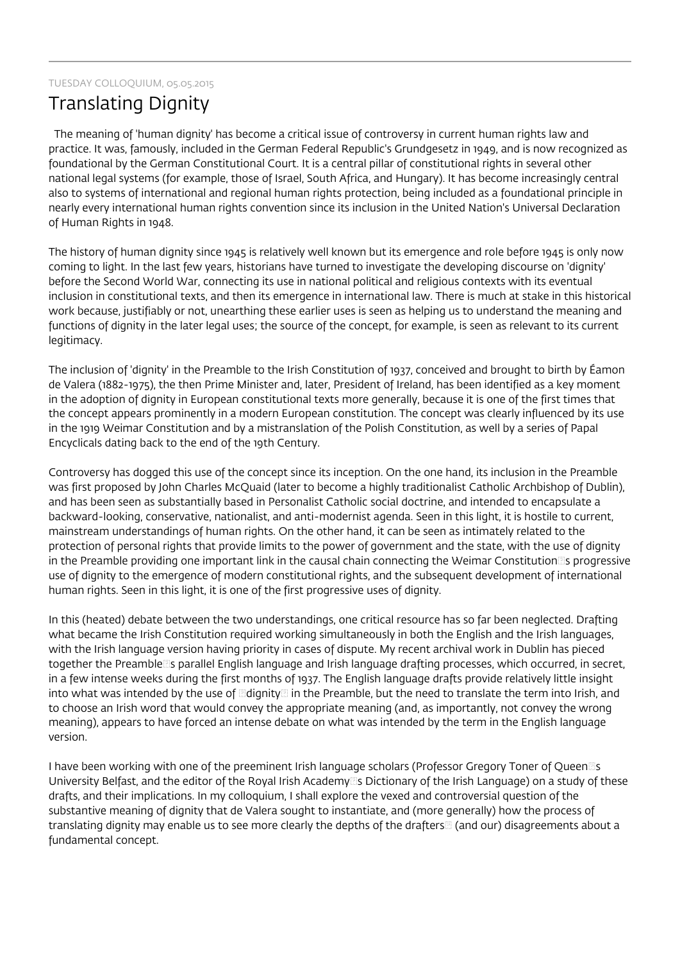#### TUESDAY COLLOQUIUM, 05.05.2015

### Translating Dignity

 The meaning of 'human dignity' has become a critical issue of controversy in current human rights law and practice. It was, famously, included in the German Federal Republic's Grundgesetz in 1949, and is now recognized as foundational by the German Constitutional Court. It is a central pillar of constitutional rights in several other national legal systems (for example, those of Israel, South Africa, and Hungary). It has become increasingly central also to systems of international and regional human rights protection, being included as a foundational principle in nearly every international human rights convention since its inclusion in the United Nation's Universal Declaration of Human Rights in 1948.

The history of human dignity since 1945 is relatively well known but its emergence and role before 1945 is only now coming to light. In the last few years, historians have turned to investigate the developing discourse on 'dignity' before the Second World War, connecting its use in national political and religious contexts with its eventual inclusion in constitutional texts, and then its emergence in international law. There is much at stake in this historical work because, justifiably or not, unearthing these earlier uses is seen as helping us to understand the meaning and functions of dignity in the later legal uses; the source of the concept, for example, is seen as relevant to its current legitimacy.

The inclusion of 'dignity' in the Preamble to the Irish Constitution of 1937, conceived and brought to birth by Éamon de Valera (1882-1975), the then Prime Minister and, later, President of Ireland, has been identified as a key moment in the adoption of dignity in European constitutional texts more generally, because it is one of the first times that the concept appears prominently in a modern European constitution. The concept was clearly influenced by its use in the 1919 Weimar Constitution and by a mistranslation of the Polish Constitution, as well by a series of Papal Encyclicals dating back to the end of the 19th Century.

Controversy has dogged this use of the concept since its inception. On the one hand, its inclusion in the Preamble was first proposed by John Charles McQuaid (later to become a highly traditionalist Catholic Archbishop of Dublin), and has been seen as substantially based in Personalist Catholic social doctrine, and intended to encapsulate a backward-looking, conservative, nationalist, and anti-modernist agenda. Seen in this light, it is hostile to current, mainstream understandings of human rights. On the other hand, it can be seen as intimately related to the protection of personal rights that provide limits to the power of government and the state, with the use of dignity in the Preamble providing one important link in the causal chain connecting the Weimar Constitution<sup>®</sup>s progressive use of dignity to the emergence of modern constitutional rights, and the subsequent development of international human rights. Seen in this light, it is one of the first progressive uses of dignity.

In this (heated) debate between the two understandings, one critical resource has so far been neglected. Drafting what became the Irish Constitution required working simultaneously in both the English and the Irish languages, with the Irish language version having priority in cases of dispute. My recent archival work in Dublin has pieced together the Preamble<sup>r</sup>s parallel English language and Irish language drafting processes, which occurred, in secret, in a few intense weeks during the first months of 1937. The English language drafts provide relatively little insight into what was intended by the use of  $\mathbb{E}$ dignity $\mathbb{E}$  in the Preamble, but the need to translate the term into Irish, and to choose an Irish word that would convey the appropriate meaning (and, as importantly, not convey the wrong meaning), appears to have forced an intense debate on what was intended by the term in the English language version.

I have been working with one of the preeminent Irish language scholars (Professor Gregory Toner of Queen<sup>Rig</sup>s University Belfast, and the editor of the Royal Irish Academy<sup>®</sup>s Dictionary of the Irish Language) on a study of these drafts, and their implications. In my colloquium, I shall explore the vexed and controversial question of the substantive meaning of dignity that de Valera sought to instantiate, and (more generally) how the process of translating dignity may enable us to see more clearly the depths of the drafters (and our) disagreements about a fundamental concept.